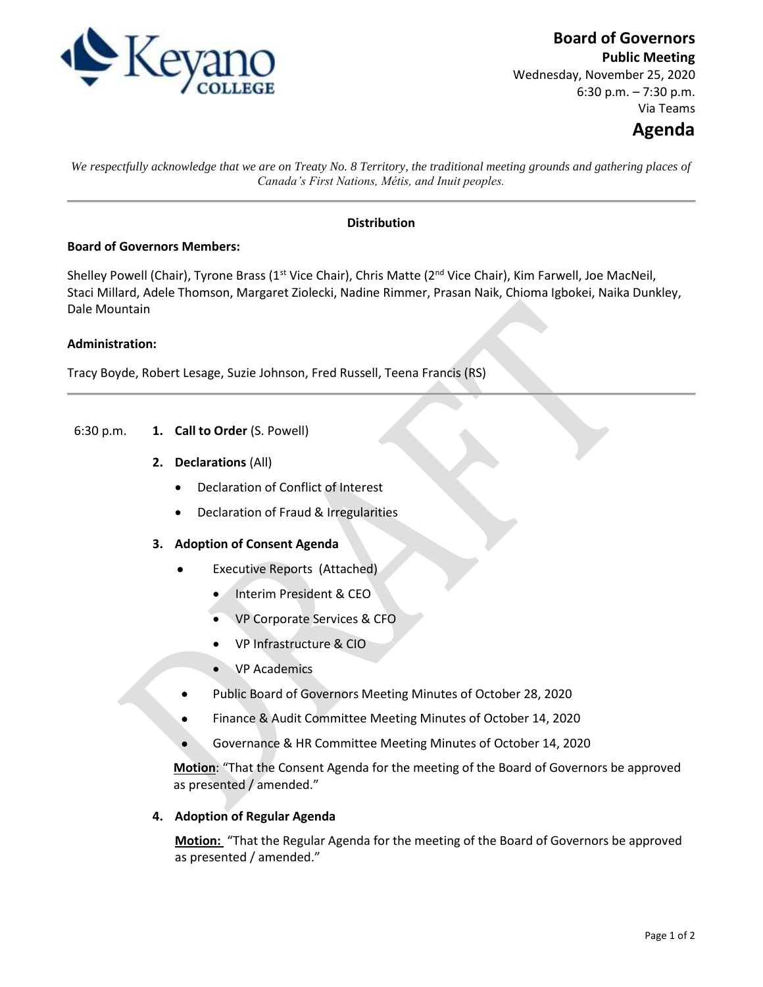

**Board of Governors**

**Public Meeting** Wednesday, November 25, 2020 6:30 p.m. – 7:30 p.m. Via Teams

# **Agenda**

*We respectfully acknowledge that we are on Treaty No. 8 Territory, the traditional meeting grounds and gathering places of Canada's First Nations, Métis, and Inuit peoples.*

# **Distribution**

## **Board of Governors Members:**

Shelley Powell (Chair), Tyrone Brass (1<sup>st</sup> Vice Chair), Chris Matte (2<sup>nd</sup> Vice Chair), Kim Farwell, Joe MacNeil, Staci Millard, Adele Thomson, Margaret Ziolecki, Nadine Rimmer, Prasan Naik, Chioma Igbokei, Naika Dunkley, Dale Mountain

## **Administration:**

Tracy Boyde, Robert Lesage, Suzie Johnson, Fred Russell, Teena Francis (RS)

- 6:30 p.m. **1. Call to Order** (S. Powell)
	- **2. Declarations** (All)
		- Declaration of Conflict of Interest
		- Declaration of Fraud & Irregularities

## **3. Adoption of Consent Agenda**

- Executive Reports (Attached)
	- Interim President & CEO
	- VP Corporate Services & CFO
	- VP Infrastructure & CIO
	- VP Academics
- Public Board of Governors Meeting Minutes of October 28, 2020
- Finance & Audit Committee Meeting Minutes of October 14, 2020
- Governance & HR Committee Meeting Minutes of October 14, 2020

**Motion**: "That the Consent Agenda for the meeting of the Board of Governors be approved as presented / amended."

#### **4. Adoption of Regular Agenda**

**Motion:** "That the Regular Agenda for the meeting of the Board of Governors be approved as presented / amended."